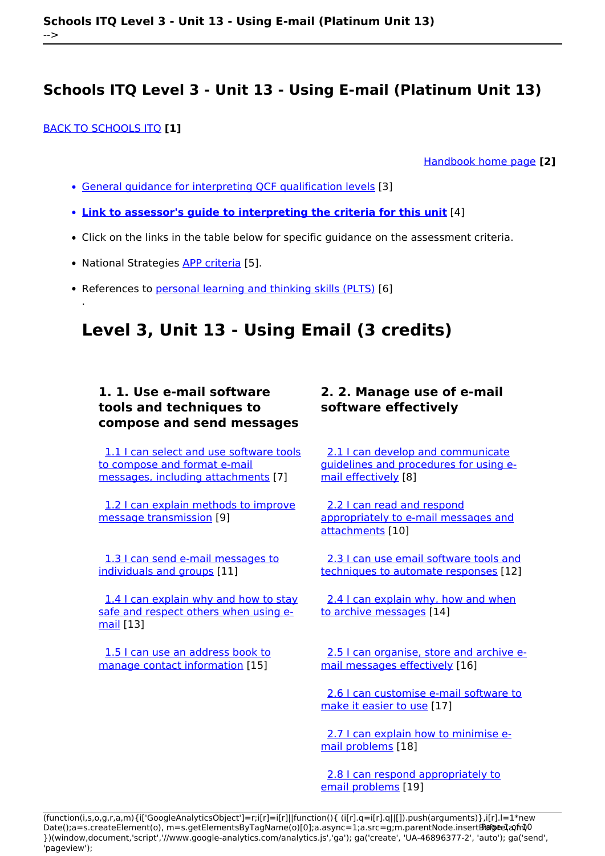### [BACK TO SCHOOLS ITQ](https://theingots.org/community/ITQ_unit_development) **[1]**

.

[Handbook home page](https://theingots.org/community/handbook2) **[2]**

- [General guidance for interpreting QCF qualification levels](https://theingots.org/community/QCF_levels) [3]
- **[Link to assessor's guide to interpreting the criteria for this unit](https://theingots.org/community/SIL2U1X)** [4]
- Click on the links in the table below for specific guidance on the assessment criteria.
- National Strategies [APP criteria](http://nationalstrategies.standards.dcsf.gov.uk/focuses/959/861/110166) [5].
- References to [personal learning and thinking skills \(PLTS\)](http://curriculum.qcda.gov.uk/key-stages-3-and-4/skills/plts/planning-for-plts/index.aspx) [6]

# **Level 3, Unit 13 - Using Email (3 credits)**

## **1. 1. Use e-mail software tools and techniques to compose and send messages**

 [1.1 I can select and use software tools](https://theingots.org/community/sil3u13x#1.1) [to compose and format e-mail](https://theingots.org/community/sil3u13x#1.1) [messages, including attachments](https://theingots.org/community/sil3u13x#1.1) [7]

 [1.2 I can explain methods to improve](https://theingots.org/community/sil3u13x#1.2) [message transmission](https://theingots.org/community/sil3u13x#1.2) [9]

 [1.3 I can send e-mail messages to](https://theingots.org/community/sil3u13x#1.3) [individuals and groups](https://theingots.org/community/sil3u13x#1.3) [11]

[1.4 I can explain why and how to stay](https://theingots.org/community/sil3u13x#1.4) [safe and respect others when using e](https://theingots.org/community/sil3u13x#1.4)[mail](https://theingots.org/community/sil3u13x#1.4) [13]

 [1.5 I can use an address book to](https://theingots.org/community/sil3u13x#1.5) [manage contact information](https://theingots.org/community/sil3u13x#1.5) [15]

## **2. 2. Manage use of e-mail software effectively**

 [2.1 I can develop and communicate](https://theingots.org/community/sil3u13x#2.1) [guidelines and procedures for using e](https://theingots.org/community/sil3u13x#2.1)[mail effectively](https://theingots.org/community/sil3u13x#2.1) [8]

 [2.2 I can read and respond](https://theingots.org/community/sil3u13x#2.2) [appropriately to e-mail messages and](https://theingots.org/community/sil3u13x#2.2) [attachments](https://theingots.org/community/sil3u13x#2.2) [10]

[2.3 I can use email software tools and](https://theingots.org/community/sil3u13x#2.3) [techniques to automate responses](https://theingots.org/community/sil3u13x#2.3) [12]

[2.4 I can explain why, how and when](https://theingots.org/community/sil3u13x#2.4) [to archive messages](https://theingots.org/community/sil3u13x#2.4) [14]

 [2.5 I can organise, store and archive e](https://theingots.org/community/sil3u13x#2.5)[mail messages effectively](https://theingots.org/community/sil3u13x#2.5) [16]

 [2.6 I can customise e-mail software to](https://theingots.org/community/sil3u13x#2.6) [make it easier to use](https://theingots.org/community/sil3u13x#2.6) [17]

 [2.7 I can explain how to minimise e](https://theingots.org/community/sil3u13x#2.7)[mail problems](https://theingots.org/community/sil3u13x#2.7) [18]

[2.8 I can respond appropriately to](https://theingots.org/community/sil3u13x#2.8) [email problems](https://theingots.org/community/sil3u13x#2.8) [19]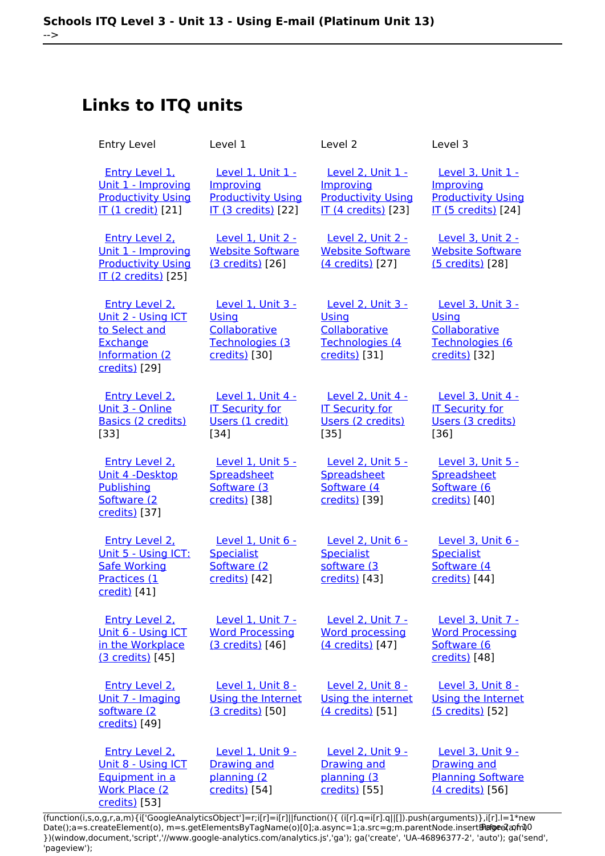# **Links to ITQ units**

| <b>Entry Level</b>                                                                                           | Level 1                                                                                   | Level 2                                                                                   | Level 3                                                                                   |
|--------------------------------------------------------------------------------------------------------------|-------------------------------------------------------------------------------------------|-------------------------------------------------------------------------------------------|-------------------------------------------------------------------------------------------|
| <b>Entry Level 1.</b><br>Unit 1 - Improving<br><b>Productivity Using</b><br><b>IT (1 credit)</b> [21]        | Level 1, Unit 1 -<br>Improving<br><b>Productivity Using</b><br><b>IT (3 credits)</b> [22] | Level 2, Unit 1 -<br>Improving<br><b>Productivity Using</b><br><b>IT (4 credits)</b> [23] | Level 3, Unit 1 -<br>Improving<br><b>Productivity Using</b><br><b>IT (5 credits)</b> [24] |
| Entry Level 2.<br>Unit 1 - Improving<br><b>Productivity Using</b><br>IT (2 credits) [25]                     | Level 1, Unit 2 -<br><b>Website Software</b><br>(3 credits) [26]                          | Level 2, Unit 2 -<br><b>Website Software</b><br>(4 credits) [27]                          | Level 3, Unit 2 -<br><b>Website Software</b><br>(5 credits) [28]                          |
| <b>Entry Level 2.</b><br>Unit 2 - Using ICT<br>to Select and<br>Exchange<br>Information (2)<br>credits) [29] | <b>Level 1, Unit 3 -</b><br>Using<br>Collaborative<br>Technologies (3<br>credits) [30]    | <b>Level 2, Unit 3 -</b><br>Using<br>Collaborative<br>Technologies (4<br>credits) [31]    | <b>Level 3, Unit 3 -</b><br>Using<br>Collaborative<br>Technologies (6<br>credits) [32]    |
| <b>Entry Level 2.</b><br>Unit 3 - Online<br><b>Basics (2 credits)</b><br>[33]                                | Level 1, Unit 4 -<br><b>IT Security for</b><br>Users (1 credit)<br>$[34]$                 | Level 2, Unit 4 -<br><b>IT Security for</b><br>Users (2 credits)<br>$[35]$                | Level 3, Unit 4 -<br><b>IT Security for</b><br>Users (3 credits)<br>$[36]$                |
| Entry Level 2,<br>Unit 4 -Desktop<br>Publishing<br>Software (2<br>credits) [37]                              | Level 1, Unit 5 -<br>Spreadsheet<br>Software (3<br>credits) [38]                          | Level 2, Unit 5 -<br>Spreadsheet<br>Software (4<br>credits) [39]                          | Level 3, Unit 5 -<br>Spreadsheet<br>Software (6<br>credits) [40]                          |
| <b>Entry Level 2,</b><br>Unit 5 - Using ICT:<br><b>Safe Working</b><br>Practices (1<br>credit) [41]          | Level 1, Unit 6 -<br><b>Specialist</b><br>Software (2<br>credits) [42]                    | Level 2, Unit 6 -<br><b>Specialist</b><br>software (3<br>credits) [43]                    | Level 3, Unit 6 -<br><b>Specialist</b><br>Software (4<br>credits) [44]                    |
| <b>Entry Level 2.</b><br>Unit 6 - Using ICT<br>in the Workplace<br>(3 credits) [45]                          | Level 1, Unit 7 -<br><b>Word Processing</b><br>(3 credits) [46]                           | Level 2, Unit 7 -<br><b>Word processing</b><br>(4 credits) [47]                           | Level 3, Unit 7 -<br><b>Word Processing</b><br>Software (6<br>credits) [48]               |
| Entry Level 2.<br>Unit 7 - Imaging<br>software (2<br>credits) [49]                                           | Level 1, Unit 8 -<br>Using the Internet<br>(3 credits) [50]                               | Level 2, Unit 8 -<br>Using the internet<br>(4 credits) [51]                               | Level 3, Unit 8 -<br><b>Using the Internet</b><br>(5 credits) [52]                        |
| <b>Entry Level 2,</b><br>Unit 8 - Using ICT<br>Equipment in a<br><b>Work Place (2)</b><br>credits) [53]      | Level 1, Unit 9 -<br><b>Drawing and</b><br>planning (2<br>credits) [54]                   | <b>Level 2, Unit 9 -</b><br><b>Drawing and</b><br>planning (3<br>credits) [55]            | Level 3, Unit 9 -<br><b>Drawing and</b><br><b>Planning Software</b><br>(4 credits) [56]   |

(function(i,s,o,g,r,a,m){i['GoogleAnalyticsObject']=r;i[r]=i[r]||function(){ (i[r].q=i[r].q||[]).push(arguments)},i[r].l=1\*new Date();a=s.createElement(o), m=s.getElementsByTagName(o)[0];a.async=1;a.src=g;m.parentNode.insert**Bෂ@e**ද?aກກ })(window,document,'script','//www.google-analytics.com/analytics.js','ga'); ga('create', 'UA-46896377-2', 'auto'); ga('send', 'pageview'); **Pagee?a**nfnl0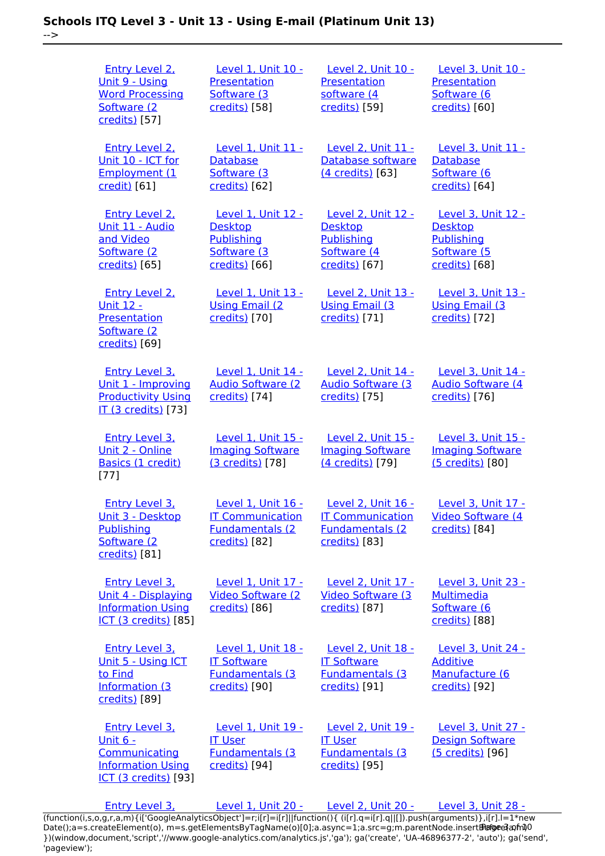-->

| <b>Entry Level 2.</b><br>Unit 9 - Using<br><b>Word Processing</b><br>Software (2)<br>credits) [57]             | Level 1, Unit 10 -<br>Presentation<br>Software (3<br>credits) [58]                               | Level 2, Unit 10 -<br>Presentation<br>software (4<br>credits) [59]                               | Level 3, Unit 10 -<br>Presentation<br>Software (6<br>credits) [60]                 |
|----------------------------------------------------------------------------------------------------------------|--------------------------------------------------------------------------------------------------|--------------------------------------------------------------------------------------------------|------------------------------------------------------------------------------------|
| <b>Entry Level 2.</b><br>Unit 10 - ICT for<br>Employment (1<br>credit) [61]                                    | Level 1, Unit 11 -<br>Database<br>Software (3<br>credits) [62]                                   | Level 2, Unit 11 -<br>Database software<br>(4 credits) [63]                                      | Level 3, Unit 11 -<br><b>Database</b><br>Software (6<br>credits) [64]              |
| Entry Level 2.<br>Unit 11 - Audio<br>and Video<br>Software (2<br>credits) [65]                                 | Level 1, Unit 12 -<br><b>Desktop</b><br>Publishing<br>Software (3<br>credits) [66]               | Level 2. Unit 12 -<br><b>Desktop</b><br>Publishing<br>Software (4)<br>credits) [67]              | Level 3. Unit 12 -<br><b>Desktop</b><br>Publishing<br>Software (5<br>credits) [68] |
| <b>Entry Level 2.</b><br><b>Unit 12 -</b><br>Presentation<br>Software (2)<br>credits) [69]                     | <b>Level 1, Unit 13 -</b><br><b>Using Email (2)</b><br>credits) [70]                             | Level 2, Unit 13 -<br><b>Using Email (3)</b><br>credits) [71]                                    | Level 3, Unit 13 -<br><b>Using Email (3)</b><br>credits) [72]                      |
| <b>Entry Level 3.</b><br>Unit 1 - Improving<br><b>Productivity Using</b><br><b>IT (3 credits)</b> [73]         | Level 1, Unit 14 -<br><b>Audio Software (2)</b><br>credits) [74]                                 | Level 2, Unit 14 -<br><b>Audio Software (3)</b><br>credits) [75]                                 | Level 3, Unit 14 -<br><b>Audio Software (4)</b><br>credits) [76]                   |
| <b>Entry Level 3,</b><br>Unit 2 - Online<br>Basics (1 credit)<br>$[77]$                                        | Level 1. Unit 15 -<br><b>Imaging Software</b><br>(3 credits) [78]                                | <b>Level 2. Unit 15 -</b><br><b>Imaging Software</b><br>(4 credits) [79]                         | Level 3. Unit 15 -<br><b>Imaging Software</b><br>(5 credits) [80]                  |
| <b>Entry Level 3.</b><br>Unit 3 - Desktop<br>Publishing<br>Software (2)<br>credits) [81]                       | <u>Level 1, Unit 16 -</u><br><b>IT Communication</b><br><b>Fundamentals (2)</b><br>credits) [82] | <u>Level 2, Unit 16 -</u><br><b>IT Communication</b><br><b>Fundamentals (2)</b><br>credits) [83] | <u>Level 3, Unit 17 -</u><br>Video Software (4<br>credits) [84]                    |
| Entry Level 3,<br><u> Unit 4 - Displaying</u><br><b>Information Using</b><br><b>ICT (3 credits)</b> [85]       | Level 1. Unit 17 -<br><b>Video Software (2)</b><br>credits) [86]                                 | <b>Level 2. Unit 17 -</b><br><b>Video Software (3)</b><br>credits) [87]                          | Level 3, Unit 23 -<br><b>Multimedia</b><br>Software (6<br>credits) [88]            |
| <b>Entry Level 3.</b><br>Unit 5 - Using ICT<br>to Find<br><b>Information (3)</b><br>credits) [89]              | Level 1, Unit 18 -<br><b>IT Software</b><br><b>Fundamentals (3)</b><br>credits) [90]             | Level 2, Unit 18 -<br><b>IT Software</b><br>Fundamentals (3<br>credits) [91]                     | Level 3, Unit 24 -<br><b>Additive</b><br>Manufacture (6<br>credits) [92]           |
| <b>Entry Level 3.</b><br><u> Unit 6 -</u><br>Communicating<br><b>Information Using</b><br>ICT (3 credits) [93] | Level 1, Unit 19 -<br><b>IT User</b><br><b>Fundamentals (3)</b><br>credits) [94]                 | Level 2, Unit 19 -<br><b>IT User</b><br><b>Fundamentals (3)</b><br>credits) [95]                 | Level 3, Unit 27 -<br><b>Design Software</b><br>(5 credits) [96]                   |
|                                                                                                                |                                                                                                  |                                                                                                  |                                                                                    |

 [Entry Level 3,](https://theingots.org/community/siel3u7) [Level 1, Unit 20 -](https://theingots.org/community/sil1u20) [Level 2, Unit 20 -](https://theingots.org/community/sil2u20) [Level 3, Unit 28 -](https://theingots.org/community/sil3U28) [\(function\(i,s,o,g,r,a,m\){i\['GoogleAnalyticsObject'\]=r;i\[r\]=i\[r\]||function\(\){ \(i\[r\].q=i\[r\].q||\[\]\).push\(arguments\)},i\[r\].l=1\\*new](https://theingots.org/community/siel3u7) Date();a=s.createElement(o), m=s.getElementsByTagName(o)[0];a.async=1;a.src=g;m.parentNode.insert**Before**??aภm [}\)\(window,document,'script','//www.google-analytics.com/analytics.js','ga'\); ga\('create', 'UA-46896377-2', 'auto'\); ga\('send',](https://theingots.org/community/siel3u7) ['pageview'\);](https://theingots.org/community/siel3u7) **Page**e}anfnl0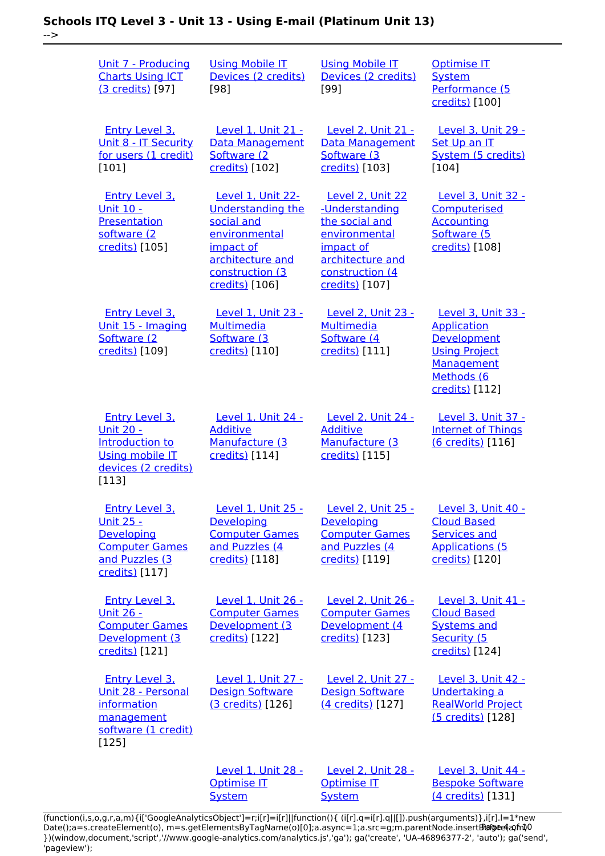-->

| Unit 7 - Producing<br><b>Charts Using ICT</b><br>(3 credits) [97]                                                      | <b>Using Mobile IT</b><br>Devices (2 credits)<br>[98]                                                                                              | <b>Using Mobile IT</b><br>Devices (2 credits)<br>$[99]$                                                                                     | <b>Optimise IT</b><br><b>System</b><br>Performance (5<br>credits) [100]                                                       |
|------------------------------------------------------------------------------------------------------------------------|----------------------------------------------------------------------------------------------------------------------------------------------------|---------------------------------------------------------------------------------------------------------------------------------------------|-------------------------------------------------------------------------------------------------------------------------------|
| Entry Level 3.<br>Unit 8 - IT Security<br>for users (1 credit)<br>$[101]$                                              | <b>Level 1. Unit 21 -</b><br>Data Management<br>Software (2)<br>credits) [102]                                                                     | Level 2. Unit 21 -<br><b>Data Management</b><br>Software (3)<br>credits) [103]                                                              | Level 3, Unit 29 -<br>Set Up an IT<br>System (5 credits)<br>$[104]$                                                           |
| <b>Entry Level 3.</b><br><u> Unit 10 -</u><br>Presentation<br>software (2)<br>credits) [105]                           | Level 1, Unit 22-<br><b>Understanding the</b><br>social and<br>environmental<br>impact of<br>architecture and<br>construction (3<br>credits) [106] | Level 2, Unit 22<br>-Understanding<br>the social and<br>environmental<br>impact of<br>architecture and<br>construction (4<br>credits) [107] | <b>Level 3, Unit 32 -</b><br>Computerised<br><b>Accounting</b><br>Software (5<br>credits) [108]                               |
| <b>Entry Level 3.</b><br>Unit 15 - Imaging<br>Software (2<br>credits) [109]                                            | Level 1, Unit 23 -<br>Multimedia<br>Software (3)<br>credits) [110]                                                                                 | <b>Level 2, Unit 23 -</b><br><b>Multimedia</b><br>Software (4<br>credits) [111]                                                             | Level 3, Unit 33 -<br><b>Application</b><br>Development<br><b>Using Project</b><br>Management<br>Methods (6<br>credits) [112] |
| <b>Entry Level 3.</b><br><u>Unit 20 -</u><br>Introduction to<br><b>Using mobile IT</b><br>devices (2 credits)<br>[113] | Level 1, Unit 24 -<br><b>Additive</b><br>Manufacture (3<br>credits) [114]                                                                          | Level 2, Unit 24 -<br><b>Additive</b><br>Manufacture (3<br>credits) [115]                                                                   | Level 3, Unit 37 -<br><b>Internet of Things</b><br>(6 credits) [116]                                                          |
| <b>Entry Level 3.</b><br><u> Unit 25 -</u><br>Developing<br><b>Computer Games</b><br>and Puzzles (3<br>credits) [117]  | <u>Level 1, Unit 25 -</u><br>Developing<br><b>Computer Games</b><br>and Puzzles (4<br>credits) [118]                                               | Level 2, Unit 25 -<br>Developing<br><b>Computer Games</b><br>and Puzzles (4<br>credits) [119]                                               | <u>Level 3, Unit 40 -</u><br><b>Cloud Based</b><br><b>Services and</b><br><b>Applications (5</b><br>credits) [120]            |
| <b>Entry Level 3.</b><br><u> Unit 26 -</u><br><b>Computer Games</b><br>Development (3<br>credits) [121]                | Level 1, Unit 26 -<br><b>Computer Games</b><br>Development (3<br>credits) [122]                                                                    | Level 2, Unit 26 -<br><b>Computer Games</b><br>Development (4<br>credits) [123]                                                             | Level 3, Unit 41 -<br><b>Cloud Based</b><br><b>Systems and</b><br>Security (5<br>credits) [124]                               |
| <b>Entry Level 3.</b><br>Unit 28 - Personal<br>information<br>management<br>software (1 credit)<br>[125]               | Level 1, Unit 27 -<br><b>Design Software</b><br>(3 credits) [126]                                                                                  | Level 2, Unit 27 -<br><b>Design Software</b><br>(4 credits) [127]                                                                           | Level 3, Unit 42 -<br>Undertaking a<br><b>RealWorld Project</b><br>(5 credits) [128]                                          |
|                                                                                                                        | Level 1, Unit 28 -<br><b>Optimise IT</b><br><b>System</b>                                                                                          | Level 2, Unit 28 -<br><b>Optimise IT</b><br><b>System</b>                                                                                   | Level 3, Unit 44 -<br><b>Bespoke Software</b><br>(4 credits) [131]                                                            |

[\(function\(i,s,o,g,r,a,m\){i\['GoogleAnalyticsObject'\]=r;i\[r\]=i\[r\]||function\(\){ \(i\[r\].q=i\[r\].q||\[\]\).push\(arguments\)},i\[r\].l=1\\*new](https://theingots.org/community/sil1u28) Date();a=s.createElement(o), m=s.getElementsByTagName(o)[0];a.async=1;a.src=g;m.parentNode.insert**Bෂ@ee{**aንከቅ [}\)\(window,document,'script','//www.google-analytics.com/analytics.js','ga'\); ga\('create', 'UA-46896377-2', 'auto'\); ga\('send',](https://theingots.org/community/sil1u28) ['pageview'\);](https://theingots.org/community/sil1u28) Page 4 of 10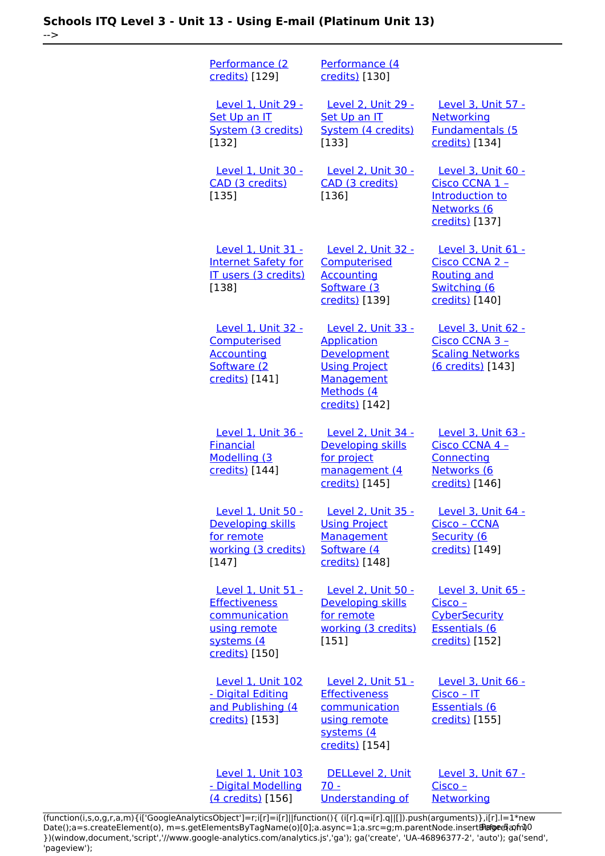-->

[Performance \(2](https://theingots.org/community/sil1u28) [credits\)](https://theingots.org/community/sil1u28) [129] [Performance \(4](https://theingots.org/community/sil2u28) [credits\)](https://theingots.org/community/sil2u28) [130] [Level 1, Unit 29 -](https://theingots.org/community/sil1u29) [Set Up an IT](https://theingots.org/community/sil1u29) [System \(3 credits\)](https://theingots.org/community/sil1u29) [132] [Level 2, Unit 29 -](https://theingots.org/community/sil2u29) [Set Up an IT](https://theingots.org/community/sil2u29) [System \(4 credits\)](https://theingots.org/community/sil2u29) [133] [Level 3, Unit 57 -](https://theingots.org/community/sil3u57) **[Networking](https://theingots.org/community/sil3u57)** [Fundamentals \(5](https://theingots.org/community/sil3u57) [credits\)](https://theingots.org/community/sil3u57) [134] [Level 1, Unit 30 -](https://theingots.org/community/sil1u30) [CAD \(3 credits\)](https://theingots.org/community/sil1u30) [135] [Level 2, Unit 30 -](https://theingots.org/community/sil2u30) [CAD \(3 credits\)](https://theingots.org/community/sil2u30) [136] [Level 3, Unit 60 -](https://theingots.org/community/sil3u60) [Cisco CCNA 1 –](https://theingots.org/community/sil3u60) [Introduction to](https://theingots.org/community/sil3u60) [Networks \(6](https://theingots.org/community/sil3u60) [credits\)](https://theingots.org/community/sil3u60) [137] [Level 1, Unit 31 -](https://theingots.org/community/sil1u31) [Internet Safety for](https://theingots.org/community/sil1u31) [IT users \(3 credits\)](https://theingots.org/community/sil1u31) [138] [Level 2, Unit 32 -](https://theingots.org/community/sil2u32) **[Computerised](https://theingots.org/community/sil2u32) [Accounting](https://theingots.org/community/sil2u32)** [Software \(3](https://theingots.org/community/sil2u32) [credits\)](https://theingots.org/community/sil2u32) [139] [Level 3, Unit 61 -](https://theingots.org/community/sil3u61) [Cisco CCNA 2 –](https://theingots.org/community/sil3u61) [Routing and](https://theingots.org/community/sil3u61) [Switching \(6](https://theingots.org/community/sil3u61) [credits\)](https://theingots.org/community/sil3u61) [140] [Level 1, Unit 32 -](https://theingots.org/community/sil1u32) [Computerised](https://theingots.org/community/sil1u32) [Accounting](https://theingots.org/community/sil1u32) [Software \(2](https://theingots.org/community/sil1u32) [credits\)](https://theingots.org/community/sil1u32) [141] [Level 2, Unit 33 -](https://theingots.org/community/sil2u33) [Application](https://theingots.org/community/sil2u33) [Development](https://theingots.org/community/sil2u33) [Using Project](https://theingots.org/community/sil2u33) [Management](https://theingots.org/community/sil2u33) [Methods \(4](https://theingots.org/community/sil2u33) [credits\)](https://theingots.org/community/sil2u33) [142] [Level 3, Unit 62 -](https://theingots.org/community/sil3u62) [Cisco CCNA 3 –](https://theingots.org/community/sil3u62) [Scaling Networks](https://theingots.org/community/sil3u62) [\(6 credits\)](https://theingots.org/community/sil3u62) [143] [Level 1, Unit 36 -](https://theingots.org/community/sil1u36) [Financial](https://theingots.org/community/sil1u36) [Modelling \(3](https://theingots.org/community/sil1u36) [credits\)](https://theingots.org/community/sil1u36) [144] [Level 2, Unit 34 -](https://theingots.org/community/sil2u34) [Developing skills](https://theingots.org/community/sil2u34) [for project](https://theingots.org/community/sil2u34) [management \(4](https://theingots.org/community/sil2u34) [credits\)](https://theingots.org/community/sil2u34) [145] [Level 3, Unit 63 -](https://theingots.org/community/sil3u63) [Cisco CCNA 4 –](https://theingots.org/community/sil3u63) **[Connecting](https://theingots.org/community/sil3u63)** [Networks \(6](https://theingots.org/community/sil3u63) [credits\)](https://theingots.org/community/sil3u63) [146] [Level 1, Unit 50 -](https://theingots.org/community/sil1u50) [Developing skills](https://theingots.org/community/sil1u50) [for remote](https://theingots.org/community/sil1u50) [working \(3 credits\)](https://theingots.org/community/sil1u50) [147] [Level 2, Unit 35 -](https://theingots.org/community/sil2u35) [Using Project](https://theingots.org/community/sil2u35) **[Management](https://theingots.org/community/sil2u35)** [Software \(4](https://theingots.org/community/sil2u35)) [credits\)](https://theingots.org/community/sil2u35) [148] [Level 3, Unit 64 -](https://theingots.org/community/sil3u64) [Cisco – CCNA](https://theingots.org/community/sil3u64) [Security \(6](https://theingots.org/community/sil3u64) [credits\)](https://theingots.org/community/sil3u64) [149] [Level 1, Unit 51 -](https://theingots.org/community/sil1u51) **[Effectiveness](https://theingots.org/community/sil1u51) [communication](https://theingots.org/community/sil1u51)** [using remote](https://theingots.org/community/sil1u51) [systems \(4](https://theingots.org/community/sil1u51) [credits\)](https://theingots.org/community/sil1u51) [150] [Level 2, Unit 50 -](https://theingots.org/community/sil2u50) [Developing skills](https://theingots.org/community/sil2u50) [for remote](https://theingots.org/community/sil2u50) [working \(3 credits\)](https://theingots.org/community/sil2u50) [151] [Level 3, Unit 65 -](https://theingots.org/community/sil3u65) [Cisco –](https://theingots.org/community/sil3u65) **[CyberSecurity](https://theingots.org/community/sil3u65)** [Essentials \(6](https://theingots.org/community/sil3u65) [credits\)](https://theingots.org/community/sil3u65) [152] [Level 1, Unit 102](https://theingots.org/community/sil1u102) [- Digital Editing](https://theingots.org/community/sil1u102) [and Publishing \(4](https://theingots.org/community/sil1u102) [credits\)](https://theingots.org/community/sil1u102) [153] [Level 2, Unit 51 -](https://theingots.org/community/sil2u51) **[Effectiveness](https://theingots.org/community/sil2u51)** [communication](https://theingots.org/community/sil2u51) [using remote](https://theingots.org/community/sil2u51) [systems \(4](https://theingots.org/community/sil2u51) [credits\)](https://theingots.org/community/sil2u51) [154] [Level 3, Unit 66 -](https://theingots.org/community/sil3u66) [Cisco – IT](https://theingots.org/community/sil3u66) [Essentials \(6](https://theingots.org/community/sil3u66) [credits\)](https://theingots.org/community/sil3u66) [155] [Level 1, Unit 103](https://theingots.org/community/sil1u103) [- Digital Modelling](https://theingots.org/community/sil1u103) [\(4 credits\)](https://theingots.org/community/sil1u103) [156] [DELLevel 2, Unit](https://theingots.org/community/sil2u70) [70 -](https://theingots.org/community/sil2u70) [Understanding of](https://theingots.org/community/sil2u70) [Level 3, Unit 67 -](https://theingots.org/community/sil3u67) [Cisco –](https://theingots.org/community/sil3u67) **[Networking](https://theingots.org/community/sil3u67)** 

[\(function\(i,s,o,g,r,a,m\){i\['GoogleAnalyticsObject'\]=r;i\[r\]=i\[r\]||function\(\){ \(i\[r\].q=i\[r\].q||\[\]\).push\(arguments\)},i\[r\].l=1\\*new](https://theingots.org/community/sil2u70) Date();a=s.createElement(o), m=s.getElementsByTagName(o)[0];a.async=1;a.src=g;m.parentNode.insert**Bෂ@e**e{a, fn)0 [}\)\(window,document,'script','//www.google-analytics.com/analytics.js','ga'\); ga\('create', 'UA-46896377-2', 'auto'\); ga\('send',](https://theingots.org/community/sil2u70) ['pageview'\);](https://theingots.org/community/sil2u70)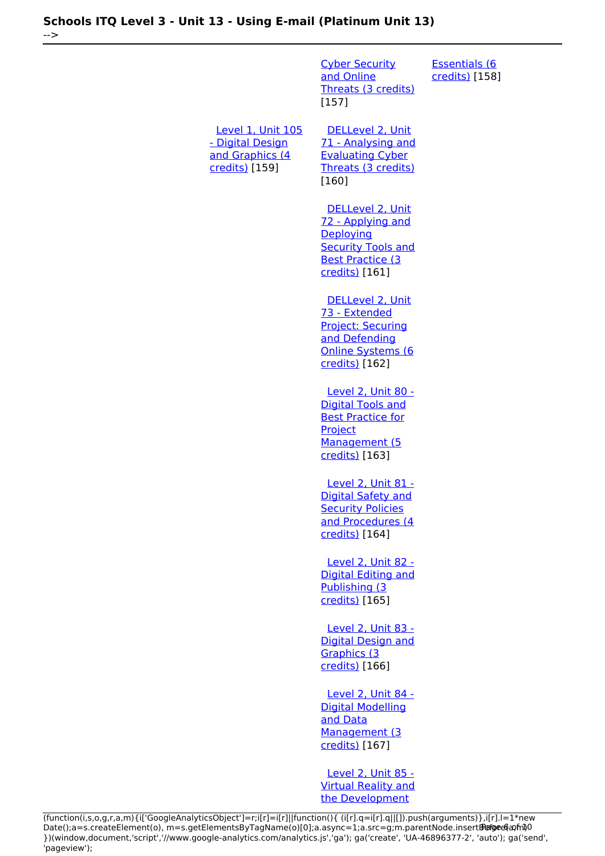-->

[Cyber Security](https://theingots.org/community/sil2u70) [and Online](https://theingots.org/community/sil2u70) [Threats \(3 credits\)](https://theingots.org/community/sil2u70) [157] [Essentials \(6](https://theingots.org/community/sil3u67) [credits\)](https://theingots.org/community/sil3u67) [158] [Level 1, Unit 105](https://theingots.org/community/sil1u105) [- Digital Design](https://theingots.org/community/sil1u105) [and Graphics \(4](https://theingots.org/community/sil1u105) [credits\)](https://theingots.org/community/sil1u105) [159] [DELLevel 2, Unit](https://theingots.org/community/sil2u71) [71 - Analysing and](https://theingots.org/community/sil2u71) [Evaluating Cyber](https://theingots.org/community/sil2u71) [Threats \(3 credits\)](https://theingots.org/community/sil2u71) [160] [DELLevel 2, Unit](https://theingots.org/community/sil2u72) [72 - Applying and](https://theingots.org/community/sil2u72) **[Deploying](https://theingots.org/community/sil2u72) [Security Tools and](https://theingots.org/community/sil2u72)** [Best Practice \(3](https://theingots.org/community/sil2u72) [credits\)](https://theingots.org/community/sil2u72) [161] [DELLevel 2, Unit](https://theingots.org/community/sil2u73) [73 - Extended](https://theingots.org/community/sil2u73) [Project: Securing](https://theingots.org/community/sil2u73) [and Defending](https://theingots.org/community/sil2u73) [Online Systems \(6](https://theingots.org/community/sil2u73) [credits\)](https://theingots.org/community/sil2u73) [162] [Level 2, Unit 80 -](https://theingots.org/community/sil2u80) [Digital Tools and](https://theingots.org/community/sil2u80) [Best Practice for](https://theingots.org/community/sil2u80) **[Project](https://theingots.org/community/sil2u80)** [Management \(5](https://theingots.org/community/sil2u80) [credits\)](https://theingots.org/community/sil2u80) [163] [Level 2, Unit 81 -](https://theingots.org/community/sil2u81) [Digital Safety and](https://theingots.org/community/sil2u81) **[Security Policies](https://theingots.org/community/sil2u81)** [and Procedures \(4](https://theingots.org/community/sil2u81) [credits\)](https://theingots.org/community/sil2u81) [164] [Level 2, Unit 82 -](https://theingots.org/community/sil2u82) [Digital Editing and](https://theingots.org/community/sil2u82) [Publishing \(3](https://theingots.org/community/sil2u82) [credits\)](https://theingots.org/community/sil2u82) [165] [Level 2, Unit 83 -](https://theingots.org/community/sil2u83) [Digital Design and](https://theingots.org/community/sil2u83) [Graphics \(3](https://theingots.org/community/sil2u83) [credits\)](https://theingots.org/community/sil2u83) [166] [Level 2, Unit 84 -](https://theingots.org/community/sil2u84) [Digital Modelling](https://theingots.org/community/sil2u84) [and Data](https://theingots.org/community/sil2u84) [Management \(3](https://theingots.org/community/sil2u84) [credits\)](https://theingots.org/community/sil2u84) [167]

> [Level 2, Unit 85 -](https://theingots.org/community/sil2u85) [Virtual Reality and](https://theingots.org/community/sil2u85) [the Development](https://theingots.org/community/sil2u85)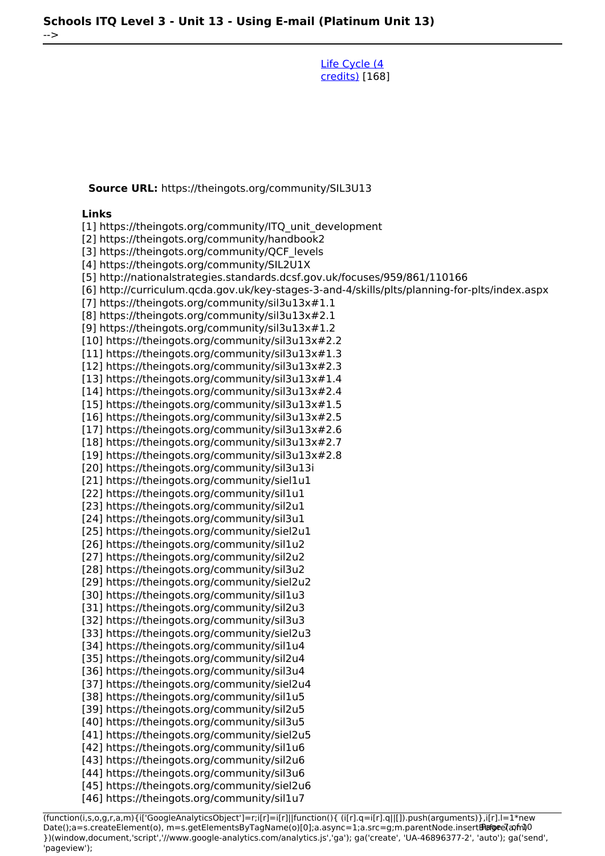[Life Cycle \(4](https://theingots.org/community/sil2u85) [credits\)](https://theingots.org/community/sil2u85) [168]

**Source URL:** https://theingots.org/community/SIL3U13

#### **Links**

-->

[1] https://theingots.org/community/ITQ\_unit\_development

[2] https://theingots.org/community/handbook2

[3] https://theingots.org/community/QCF\_levels

[4] https://theingots.org/community/SIL2U1X

[5] http://nationalstrategies.standards.dcsf.gov.uk/focuses/959/861/110166

[6] http://curriculum.qcda.gov.uk/key-stages-3-and-4/skills/plts/planning-for-plts/index.aspx

[7] https://theingots.org/community/sil3u13x#1.1

[8] https://theingots.org/community/sil3u13x#2.1

[9] https://theingots.org/community/sil3u13x#1.2

[10] https://theingots.org/community/sil3u13x#2.2

[11] https://theingots.org/community/sil3u13x#1.3

[12] https://theingots.org/community/sil3u13x#2.3

[13] https://theingots.org/community/sil3u13x#1.4

- [14] https://theingots.org/community/sil3u13x#2.4
- [15] https://theingots.org/community/sil3u13x#1.5 [16] https://theingots.org/community/sil3u13x#2.5
- [17] https://theingots.org/community/sil3u13x#2.6

[18] https://theingots.org/community/sil3u13x#2.7

[19] https://theingots.org/community/sil3u13x#2.8

[20] https://theingots.org/community/sil3u13i

[21] https://theingots.org/community/siel1u1

- [22] https://theingots.org/community/sil1u1
- [23] https://theingots.org/community/sil2u1

[24] https://theingots.org/community/sil3u1

[25] https://theingots.org/community/siel2u1

[26] https://theingots.org/community/sil1u2 [27] https://theingots.org/community/sil2u2

[28] https://theingots.org/community/sil3u2

[29] https://theingots.org/community/siel2u2

[30] https://theingots.org/community/sil1u3

[31] https://theingots.org/community/sil2u3

[32] https://theingots.org/community/sil3u3 [33] https://theingots.org/community/siel2u3

[34] https://theingots.org/community/sil1u4

[35] https://theingots.org/community/sil2u4

[36] https://theingots.org/community/sil3u4

[37] https://theingots.org/community/siel2u4

[38] https://theingots.org/community/sil1u5

[39] https://theingots.org/community/sil2u5

[40] https://theingots.org/community/sil3u5

[41] https://theingots.org/community/siel2u5

[42] https://theingots.org/community/sil1u6

[43] https://theingots.org/community/sil2u6

[44] https://theingots.org/community/sil3u6 [45] https://theingots.org/community/siel2u6

[46] https://theingots.org/community/sil1u7

(function(i,s,o,g,r,a,m){i['GoogleAnalyticsObject']=r;i[r]=i[r]||function(){ (i[r].q=i[r].q||[]).push(arguments)},i[r].l=1\*new Date();a=s.createElement(o), m=s.getElementsByTagName(o)[0];a.async=1;a.src=g;m.parentNode.insert**Before**(apfn)0 })(window,document,'script','//www.google-analytics.com/analytics.js','ga'); ga('create', 'UA-46896377-2', 'auto'); ga('send', 'pageview');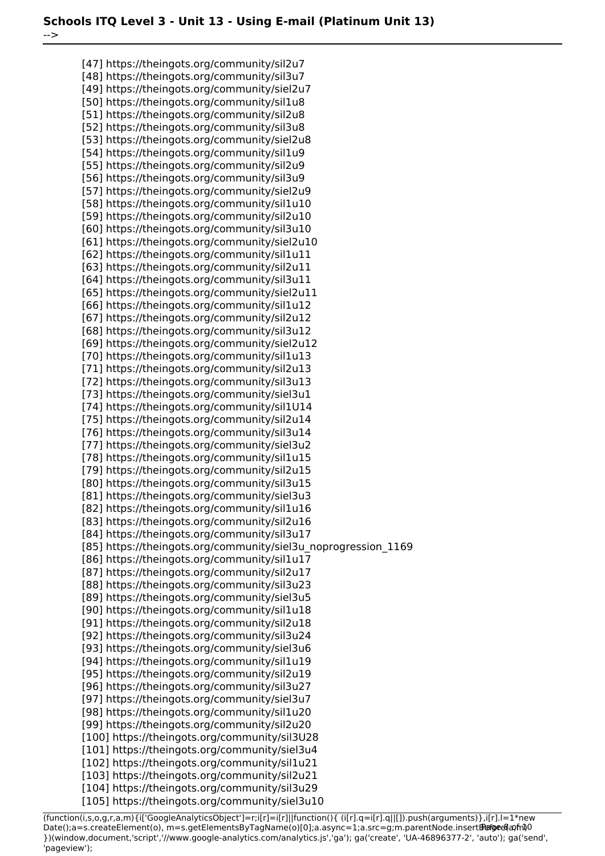-->

[47] https://theingots.org/community/sil2u7 [48] https://theingots.org/community/sil3u7 [49] https://theingots.org/community/siel2u7 [50] https://theingots.org/community/sil1u8 [51] https://theingots.org/community/sil2u8 [52] https://theingots.org/community/sil3u8 [53] https://theingots.org/community/siel2u8 [54] https://theingots.org/community/sil1u9 [55] https://theingots.org/community/sil2u9 [56] https://theingots.org/community/sil3u9 [57] https://theingots.org/community/siel2u9 [58] https://theingots.org/community/sil1u10 [59] https://theingots.org/community/sil2u10 [60] https://theingots.org/community/sil3u10 [61] https://theingots.org/community/siel2u10 [62] https://theingots.org/community/sil1u11 [63] https://theingots.org/community/sil2u11 [64] https://theingots.org/community/sil3u11 [65] https://theingots.org/community/siel2u11 [66] https://theingots.org/community/sil1u12 [67] https://theingots.org/community/sil2u12 [68] https://theingots.org/community/sil3u12 [69] https://theingots.org/community/siel2u12 [70] https://theingots.org/community/sil1u13 [71] https://theingots.org/community/sil2u13 [72] https://theingots.org/community/sil3u13 [73] https://theingots.org/community/siel3u1 [74] https://theingots.org/community/sil1U14 [75] https://theingots.org/community/sil2u14 [76] https://theingots.org/community/sil3u14 [77] https://theingots.org/community/siel3u2 [78] https://theingots.org/community/sil1u15 [79] https://theingots.org/community/sil2u15 [80] https://theingots.org/community/sil3u15 [81] https://theingots.org/community/siel3u3 [82] https://theingots.org/community/sil1u16 [83] https://theingots.org/community/sil2u16 [84] https://theingots.org/community/sil3u17 [85] https://theingots.org/community/siel3u\_noprogression\_1169 [86] https://theingots.org/community/sil1u17 [87] https://theingots.org/community/sil2u17 [88] https://theingots.org/community/sil3u23 [89] https://theingots.org/community/siel3u5 [90] https://theingots.org/community/sil1u18 [91] https://theingots.org/community/sil2u18 [92] https://theingots.org/community/sil3u24 [93] https://theingots.org/community/siel3u6 [94] https://theingots.org/community/sil1u19 [95] https://theingots.org/community/sil2u19 [96] https://theingots.org/community/sil3u27 [97] https://theingots.org/community/siel3u7 [98] https://theingots.org/community/sil1u20 [99] https://theingots.org/community/sil2u20 [100] https://theingots.org/community/sil3U28 [101] https://theingots.org/community/siel3u4 [102] https://theingots.org/community/sil1u21 [103] https://theingots.org/community/sil2u21 [104] https://theingots.org/community/sil3u29 [105] https://theingots.org/community/siel3u10

(function(i,s,o,g,r,a,m){i['GoogleAnalyticsObject']=r;i[r]=i[r]||function(){ (i[r].q=i[r].q||[]).push(arguments)},i[r].l=1\*new Date();a=s.createElement(o), m=s.getElementsByTagName(o)[0];a.async=1;a.src=g;m.parentNode.insert**Bෂ@e**&aภ*f*ii)0 })(window,document,'script','//www.google-analytics.com/analytics.js','ga'); ga('create', 'UA-46896377-2', 'auto'); ga('send', 'pageview');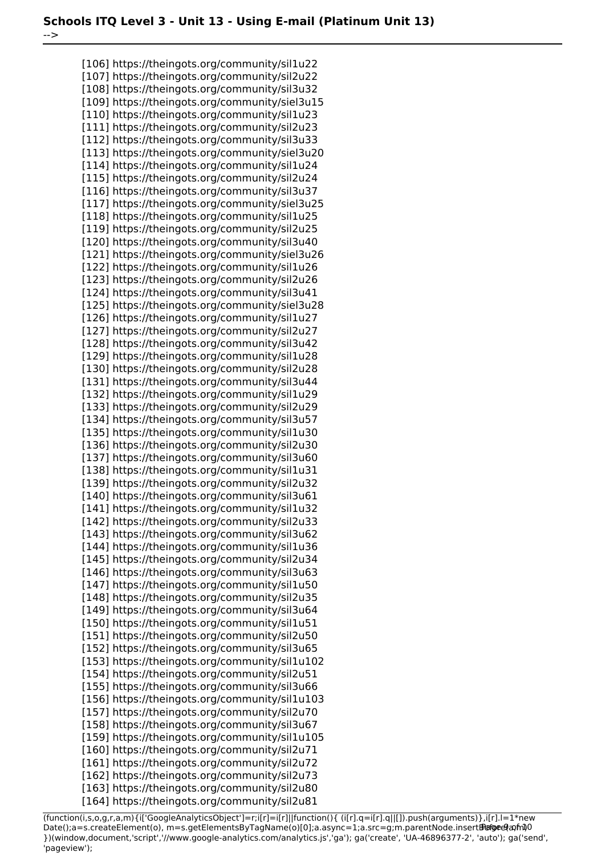-->

[106] https://theingots.org/community/sil1u22 [107] https://theingots.org/community/sil2u22 [108] https://theingots.org/community/sil3u32 [109] https://theingots.org/community/siel3u15 [110] https://theingots.org/community/sil1u23 [111] https://theingots.org/community/sil2u23 [112] https://theingots.org/community/sil3u33 [113] https://theingots.org/community/siel3u20 [114] https://theingots.org/community/sil1u24 [115] https://theingots.org/community/sil2u24 [116] https://theingots.org/community/sil3u37 [117] https://theingots.org/community/siel3u25 [118] https://theingots.org/community/sil1u25 [119] https://theingots.org/community/sil2u25 [120] https://theingots.org/community/sil3u40 [121] https://theingots.org/community/siel3u26 [122] https://theingots.org/community/sil1u26 [123] https://theingots.org/community/sil2u26 [124] https://theingots.org/community/sil3u41 [125] https://theingots.org/community/siel3u28 [126] https://theingots.org/community/sil1u27 [127] https://theingots.org/community/sil2u27 [128] https://theingots.org/community/sil3u42 [129] https://theingots.org/community/sil1u28 [130] https://theingots.org/community/sil2u28 [131] https://theingots.org/community/sil3u44 [132] https://theingots.org/community/sil1u29 [133] https://theingots.org/community/sil2u29 [134] https://theingots.org/community/sil3u57 [135] https://theingots.org/community/sil1u30 [136] https://theingots.org/community/sil2u30 [137] https://theingots.org/community/sil3u60 [138] https://theingots.org/community/sil1u31 [139] https://theingots.org/community/sil2u32 [140] https://theingots.org/community/sil3u61 [141] https://theingots.org/community/sil1u32 [142] https://theingots.org/community/sil2u33 [143] https://theingots.org/community/sil3u62 [144] https://theingots.org/community/sil1u36 [145] https://theingots.org/community/sil2u34 [146] https://theingots.org/community/sil3u63 [147] https://theingots.org/community/sil1u50 [148] https://theingots.org/community/sil2u35 [149] https://theingots.org/community/sil3u64 [150] https://theingots.org/community/sil1u51 [151] https://theingots.org/community/sil2u50 [152] https://theingots.org/community/sil3u65 [153] https://theingots.org/community/sil1u102 [154] https://theingots.org/community/sil2u51 [155] https://theingots.org/community/sil3u66 [156] https://theingots.org/community/sil1u103 [157] https://theingots.org/community/sil2u70 [158] https://theingots.org/community/sil3u67 [159] https://theingots.org/community/sil1u105 [160] https://theingots.org/community/sil2u71 [161] https://theingots.org/community/sil2u72 [162] https://theingots.org/community/sil2u73 [163] https://theingots.org/community/sil2u80 [164] https://theingots.org/community/sil2u81

(function(i,s,o,g,r,a,m){i['GoogleAnalyticsObject']=r;i[r]=i[r]||function(){ (i[r].q=i[r].q||[]).push(arguments)},i[r].l=1\*new Date();a=s.createElement(o), m=s.getElementsByTagName(o)[0];a.async=1;a.src=g;m.parentNode.insert**Bෂ@e**ේ ආከ $\emptyset$ 0 })(window,document,'script','//www.google-analytics.com/analytics.js','ga'); ga('create', 'UA-46896377-2', 'auto'); ga('send', 'pageview');